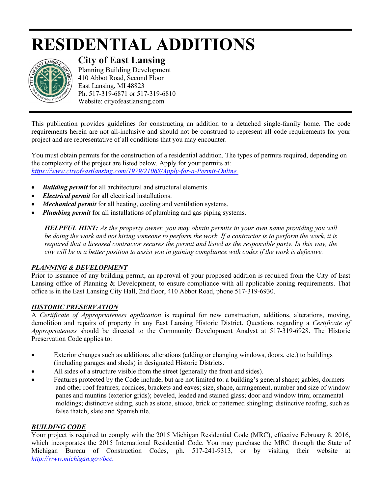# **RESIDENTIAL ADDITIONS**



# **City of East Lansing**

Planning Building Development 410 Abbot Road, Second Floor East Lansing, MI 48823 Ph. 517-319-6871 or 517-319-6810 Website: cityofeastlansing.com

This publication provides guidelines for constructing an addition to a detached single-family home. The code requirements herein are not all-inclusive and should not be construed to represent all code requirements for your project and are representative of all conditions that you may encounter.

You must obtain permits for the construction of a residential addition. The types of permits required, depending on the complexity of the project are listed below. Apply for your permits at: *[https://www.cityofeastlansing.com/1979/21068/Apply-for-a-Permit-Online.](https://www.cityofeastlansing.com/1979/21068/Apply-for-a-Permit-Online)*

- *Building permit* for all architectural and structural elements.
- *Electrical permit* for all electrical installations.
- *Mechanical permit* for all heating, cooling and ventilation systems.
- *Plumbing permit* for all installations of plumbing and gas piping systems.

*HELPFUL HINT: As the property owner, you may obtain permits in your own name providing you will*  be doing the work and not hiring someone to perform the work. If a contractor is to perform the work, it is *required that a licensed contractor secures the permit and listed as the responsible party. In this way, the city will be in a better position to assist you in gaining compliance with codes if the work is defective.*

# *PLANNING & DEVELOPMENT*

Prior to issuance of any building permit, an approval of your proposed addition is required from the City of East Lansing office of Planning & Development, to ensure compliance with all applicable zoning requirements. That office is in the East Lansing City Hall, 2nd floor, 410 Abbot Road, phone 517-319-6930.

# *HISTORIC PRESERVATION*

A *Certificate of Appropriateness application* is required for new construction, additions, alterations, moving, demolition and repairs of property in any East Lansing Historic District. Questions regarding a *Certificate of Appropriateness* should be directed to the Community Development Analyst at 517-319-6928. The Historic Preservation Code applies to:

- Exterior changes such as additions, alterations (adding or changing windows, doors, etc.) to buildings (including garages and sheds) in designated Historic Districts.
- All sides of a structure visible from the street (generally the front and sides).
- Features protected by the Code include, but are not limited to: a building's general shape; gables, dormers and other roof features; cornices, brackets and eaves; size, shape, arrangement, number and size of window panes and muntins (exterior grids); beveled, leaded and stained glass; door and window trim; ornamental moldings; distinctive siding, such as stone, stucco, brick or patterned shingling; distinctive roofing, such as false thatch, slate and Spanish tile.

# *BUILDING CODE*

Your project is required to comply with the 2015 Michigan Residential Code (MRC), effective February 8, 2016, which incorporates the 2015 International Residential Code. You may purchase the MRC through the State of Michigan Bureau of Construction Codes, ph. 517-241-9313, or by visiting their website at *http://www.michigan.gov/bcc.*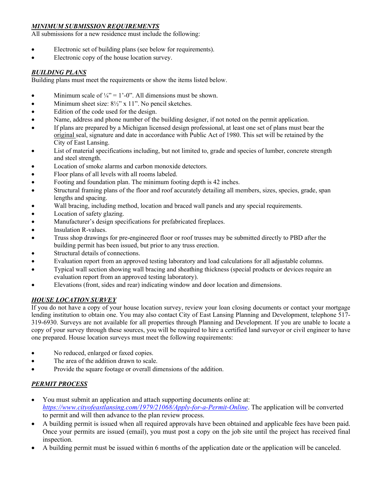#### *MINIMUM SUBMISSION REQUIREMENTS*

All submissions for a new residence must include the following:

- Electronic set of building plans (see below for requirements).
- Electronic copy of the house location survey.

#### *BUILDING PLANS*

Building plans must meet the requirements or show the items listed below.

- Minimum scale of  $\frac{1}{4}$ " = 1'-0". All dimensions must be shown.
- Minimum sheet size:  $8\frac{1}{2}$ " x 11". No pencil sketches.
- Edition of the code used for the design.
- Name, address and phone number of the building designer, if not noted on the permit application.
- If plans are prepared by a Michigan licensed design professional, at least one set of plans must bear the original seal, signature and date in accordance with Public Act of 1980. This set will be retained by the City of East Lansing.
- List of material specifications including, but not limited to, grade and species of lumber, concrete strength and steel strength.
- Location of smoke alarms and carbon monoxide detectors.
- Floor plans of all levels with all rooms labeled.
- Footing and foundation plan. The minimum footing depth is 42 inches.
- Structural framing plans of the floor and roof accurately detailing all members, sizes, species, grade, span lengths and spacing.
- Wall bracing, including method, location and braced wall panels and any special requirements.
- Location of safety glazing.
- Manufacturer's design specifications for prefabricated fireplaces.
- Insulation R-values.
- Truss shop drawings for pre-engineered floor or roof trusses may be submitted directly to PBD after the building permit has been issued, but prior to any truss erection.
- Structural details of connections.
- Evaluation report from an approved testing laboratory and load calculations for all adjustable columns.
- Typical wall section showing wall bracing and sheathing thickness (special products or devices require an evaluation report from an approved testing laboratory).
- Elevations (front, sides and rear) indicating window and door location and dimensions.

#### *HOUSE LOCATION SURVEY*

If you do not have a copy of your house location survey, review your loan closing documents or contact your mortgage lending institution to obtain one. You may also contact City of East Lansing Planning and Development, telephone 517- 319-6930. Surveys are not available for all properties through Planning and Development. If you are unable to locate a copy of your survey through these sources, you will be required to hire a certified land surveyor or civil engineer to have one prepared. House location surveys must meet the following requirements:

- No reduced, enlarged or faxed copies.
- The area of the addition drawn to scale.
- Provide the square footage or overall dimensions of the addition.

#### *PERMIT PROCESS*

- You must submit an application and attach supporting documents online at: *<https://www.cityofeastlansing.com/1979/21068/Apply-for-a-Permit-Online>*. The application will be converted to permit and will then advance to the plan review process.
- A building permit is issued when all required approvals have been obtained and applicable fees have been paid. Once your permits are issued (email), you must post a copy on the job site until the project has received final inspection.
- A building permit must be issued within 6 months of the application date or the application will be canceled.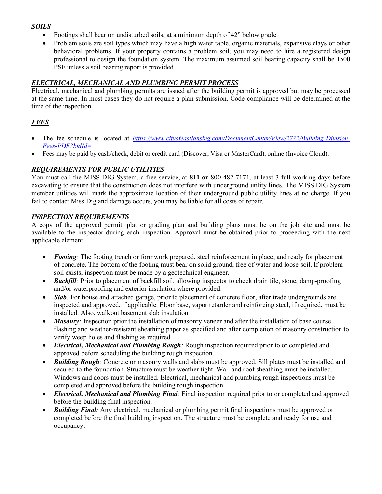# *SOILS*

- Footings shall bear on undisturbed soils, at a minimum depth of 42" below grade.
- Problem soils are soil types which may have a high water table, organic materials, expansive clays or other behavioral problems. If your property contains a problem soil, you may need to hire a registered design professional to design the foundation system. The maximum assumed soil bearing capacity shall be 1500 PSF unless a soil bearing report is provided.

#### *ELECTRICAL, MECHANICAL AND PLUMBING PERMIT PROCESS*

Electrical, mechanical and plumbing permits are issued after the building permit is approved but may be processed at the same time. In most cases they do not require a plan submission. Code compliance will be determined at the time of the inspection.

# *FEES*

- The fee schedule is located at *https://www.cityofeastlansing.com/DocumentCenter/View/2772/Building-Division-Fees-PDF?bidId=*
- Fees may be paid by cash/check, debit or credit card (Discover, Visa or MasterCard), online (Invoice Cloud).

#### *REQUIREMENTS FOR PUBLIC UTILITIES*

You must call the MISS DIG System, a free service, at **811 or** 800-482-7171, at least 3 full working days before excavating to ensure that the construction does not interfere with underground utility lines. The MISS DIG System member utilities will mark the approximate location of their underground public utility lines at no charge. If you fail to contact Miss Dig and damage occurs, you may be liable for all costs of repair.

#### *INSPECTION REQUIREMENTS*

A copy of the approved permit, plat or grading plan and building plans must be on the job site and must be available to the inspector during each inspection. Approval must be obtained prior to proceeding with the next applicable element.

- *Footing*: The footing trench or formwork prepared, steel reinforcement in place, and ready for placement of concrete. The bottom of the footing must bear on solid ground, free of water and loose soil. If problem soil exists, inspection must be made by a geotechnical engineer.
- *Backfill:* Prior to placement of backfill soil, allowing inspector to check drain tile, stone, damp-proofing and/or waterproofing and exterior insulation where provided.
- *Slab:* For house and attached garage, prior to placement of concrete floor, after trade undergrounds are inspected and approved, if applicable. Floor base, vapor retarder and reinforcing steel, if required, must be installed. Also, walkout basement slab insulation
- *Masonry*: Inspection prior the installation of masonry veneer and after the installation of base course flashing and weather-resistant sheathing paper as specified and after completion of masonry construction to verify weep holes and flashing as required.
- *Electrical, Mechanical and Plumbing Rough:* Rough inspection required prior to or completed and approved before scheduling the building rough inspection.
- *Building Rough:* Concrete or masonry walls and slabs must be approved. Sill plates must be installed and secured to the foundation. Structure must be weather tight. Wall and roof sheathing must be installed. Windows and doors must be installed. Electrical, mechanical and plumbing rough inspections must be completed and approved before the building rough inspection.
- *Electrical, Mechanical and Plumbing Final:* Final inspection required prior to or completed and approved before the building final inspection.
- *Building Final:* Any electrical, mechanical or plumbing permit final inspections must be approved or completed before the final building inspection. The structure must be complete and ready for use and occupancy.